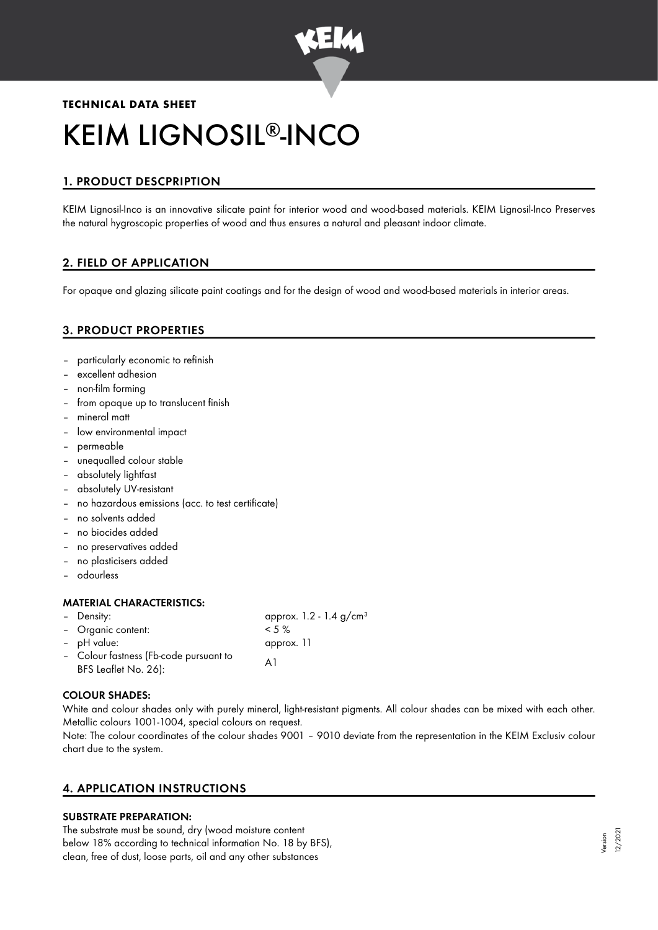

# **TECHNICAL DATA SHEET** KEIM LIGNOSIL®-INCO

# 1. PRODUCT DESCPRIPTION

KEIM Lignosil-Inco is an innovative silicate paint for interior wood and wood-based materials. KEIM Lignosil-Inco Preserves the natural hygroscopic properties of wood and thus ensures a natural and pleasant indoor climate.

# 2. FIELD OF APPLICATION

For opaque and glazing silicate paint coatings and for the design of wood and wood-based materials in interior areas.

# 3. PRODUCT PROPERTIES

- particularly economic to refinish
- excellent adhesion
- non-film forming
- from opaque up to translucent finish
- mineral matt
- low environmental impact
- permeable
- unequalled colour stable
- absolutely lightfast
- absolutely UV-resistant
- no hazardous emissions (acc. to test certificate)
- no solvents added
- no biocides added
- no preservatives added
- no plasticisers added
- odourless

#### MATERIAL CHARACTERISTICS:

| - Density:                             | approx. $1.2 - 1.4$ g/cm <sup>3</sup> |
|----------------------------------------|---------------------------------------|
| - Organic content:                     | $< 5 \%$                              |
| - pH value:                            | approx. 11                            |
| - Colour fastness (Fb-code pursuant to | A 1                                   |
| BFS Leaflet No. 26):                   |                                       |

#### COLOUR SHADES:

White and colour shades only with purely mineral, light-resistant pigments. All colour shades can be mixed with each other. Metallic colours 1001-1004, special colours on request.

Note: The colour coordinates of the colour shades 9001 – 9010 deviate from the representation in the KEIM Exclusiv colour chart due to the system.

# 4. APPLICATION INSTRUCTIONS

# SUBSTRATE PREPARATION:

The substrate must be sound, dry (wood moisture content below 18% according to technical information No. 18 by BFS), clean, free of dust, loose parts, oil and any other substances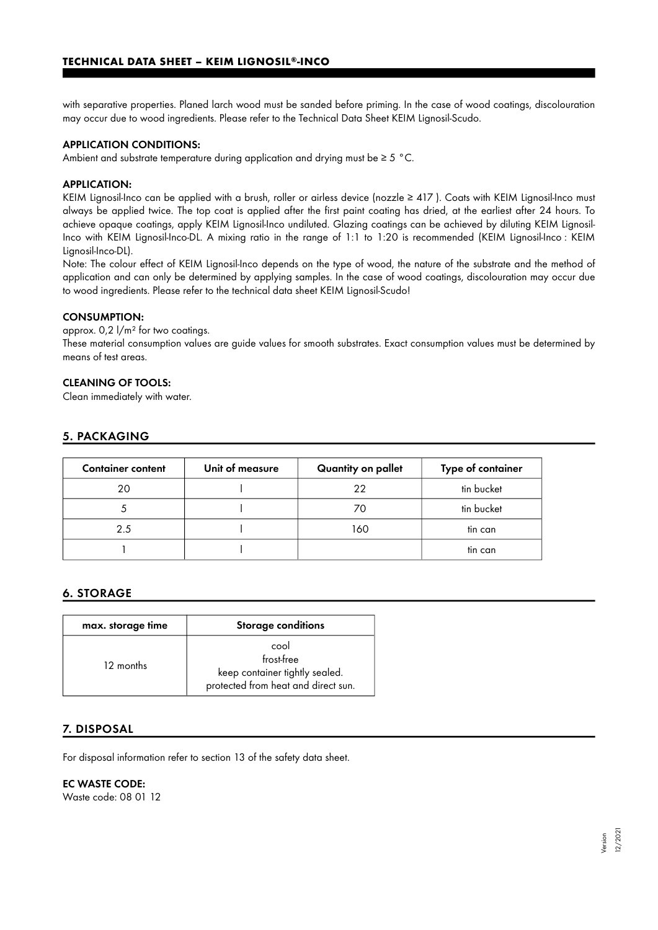with separative properties. Planed larch wood must be sanded before priming. In the case of wood coatings, discolouration may occur due to wood ingredients. Please refer to the Technical Data Sheet KEIM Lignosil-Scudo.

#### APPLICATION CONDITIONS:

Ambient and substrate temperature during application and drying must be ≥ 5 °C.

#### APPLICATION:

KEIM Lignosil-Inco can be applied with a brush, roller or airless device (nozzle ≥ 417). Coats with KEIM Lignosil-Inco must always be applied twice. The top coat is applied after the first paint coating has dried, at the earliest after 24 hours. To achieve opaque coatings, apply KEIM Lignosil-Inco undiluted. Glazing coatings can be achieved by diluting KEIM Lignosil-Inco with KEIM Lignosil-Inco-DL. A mixing ratio in the range of 1:1 to 1:20 is recommended (KEIM Lignosil-Inco : KEIM Lignosil-Inco-DL).

Note: The colour effect of KEIM Lignosil-Inco depends on the type of wood, the nature of the substrate and the method of application and can only be determined by applying samples. In the case of wood coatings, discolouration may occur due to wood ingredients. Please refer to the technical data sheet KEIM Lignosil-Scudo!

#### CONSUMPTION:

approx.  $0.2 \frac{1}{m^2}$  for two coatings.

These material consumption values are guide values for smooth substrates. Exact consumption values must be determined by means of test areas.

### CLEANING OF TOOLS:

Clean immediately with water.

## 5. PACKAGING

| <b>Container content</b> | Unit of measure | Quantity on pallet | Type of container |
|--------------------------|-----------------|--------------------|-------------------|
| 20                       |                 | 22                 | tin bucket        |
|                          |                 | 70                 | tin bucket        |
| 2.5                      |                 | 160                | tin can           |
|                          |                 |                    | tin can           |

#### 6. STORAGE

| max. storage time | <b>Storage conditions</b>                                                                   |
|-------------------|---------------------------------------------------------------------------------------------|
| 12 months         | cool<br>frost-free<br>keep container tightly sealed.<br>protected from heat and direct sun. |

## 7. DISPOSAL

For disposal information refer to section 13 of the safety data sheet.

#### EC WASTE CODE:

Waste code: 08 01 12